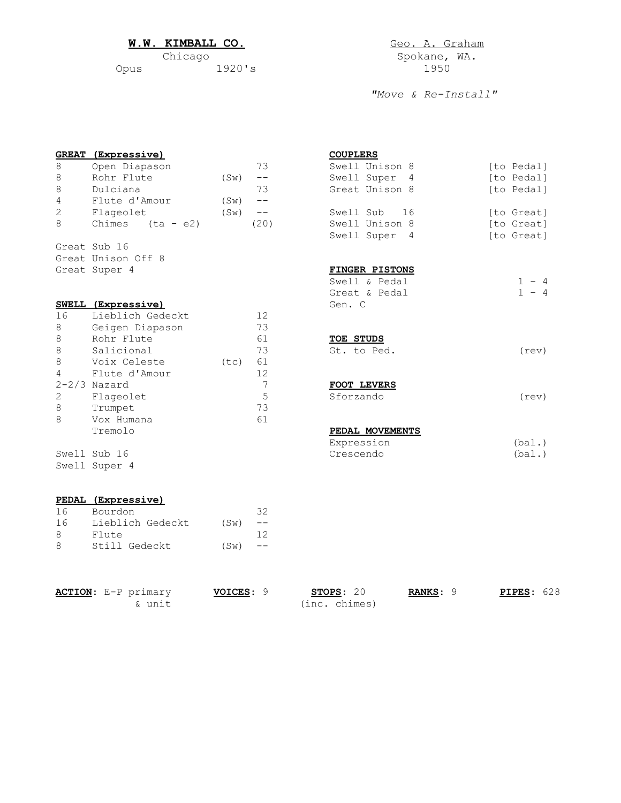## W.W. KIMBALL CO. **GEO. A. Graham**

|      | Spokane, |      |
|------|----------|------|
| Opus | 1920's   | 1950 |

Spokane, WA.<br>1950

*"Move & Re-Install"*

|              | <b>GREAT</b> (Expressive) |         |                   | <b>COUPLERS</b>  |                      |
|--------------|---------------------------|---------|-------------------|------------------|----------------------|
| $\,8\,$      | Open Diapason             |         | 73                | Swell Unison 8   | [to Pedal]           |
| 8            | Rohr Flute                | $(S_W)$ | $- -$             | Swell Super<br>4 | [to Pedal]           |
| 8            | Dulciana                  |         | 73                | Great Unison 8   | [to Pedal]           |
| 4            | Flute d'Amour             | (SW)    | $\qquad -$        |                  |                      |
| 2            | Flageolet                 | (SW)    | $\qquad \qquad -$ | Swell Sub<br>16  | [to Great]           |
| 8            | Chimes<br>(ta - e2)       |         | (20)              | Swell Unison 8   | [to Great]           |
|              |                           |         |                   | Swell Super<br>4 | [to Great]           |
|              | Great Sub 16              |         |                   |                  |                      |
|              | Great Unison Off 8        |         |                   |                  |                      |
|              | Great Super 4             |         |                   | FINGER PISTONS   |                      |
|              |                           |         |                   | Swell & Pedal    | $-4$<br>$\mathbf{1}$ |
|              |                           |         |                   | Great & Pedal    | $-4$<br>$\mathbf{1}$ |
|              | SWELL (Expressive)        |         |                   | Gen. C           |                      |
| 16           | Lieblich Gedeckt          |         | 12                |                  |                      |
| 8            | Geigen Diapason           |         | 73                |                  |                      |
| $\,8\,$      | Rohr Flute                |         | 61                | TOE STUDS        |                      |
| $\,8\,$      | Salicional                |         | 73                | Gt. to Ped.      | (rev)                |
| 8            | Voix Celeste              | (tc)    | 61                |                  |                      |
| 4            | Flute d'Amour             |         | 12                |                  |                      |
|              | $2 - 2/3$ Nazard          |         | 7                 | FOOT LEVERS      |                      |
| $\mathbf{2}$ | Flageolet                 |         | 5                 | Sforzando        | (rev)                |
| 8            | Trumpet                   |         | 73                |                  |                      |
| 8            | Vox Humana                |         | 61                |                  |                      |
|              | Tremolo                   |         |                   | PEDAL MOVEMENTS  |                      |
|              |                           |         |                   | Expression       | (bal.)               |
|              | Swell Sub 16              |         |                   | Crescendo        | (bal.)               |
|              | Swell Super 4             |         |                   |                  |                      |
|              | PEDAL (Expressive)        |         |                   |                  |                      |
| 16           | Bourdon                   |         | 32                |                  |                      |

| ACTION: E-P primary | VOICES: 9 | STOPS: 20 | <b>RANKS: 9</b> | <b>PIPES: 628</b> |
|---------------------|-----------|-----------|-----------------|-------------------|

16 Lieblich Gedeckt (Sw) -- 8 Flute 12 8 Still Gedeckt (Sw) --

& unit (inc. chimes)